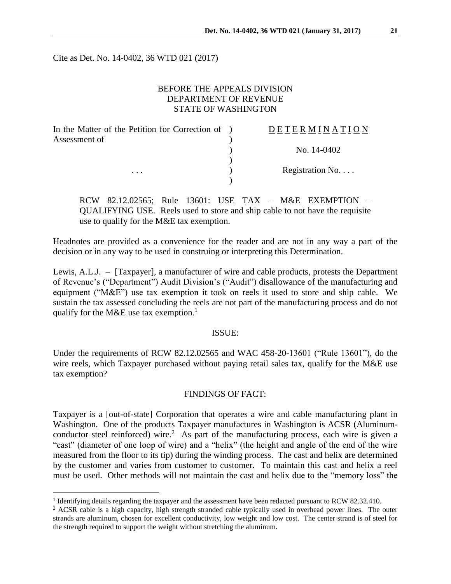Cite as Det. No. 14-0402, 36 WTD 021 (2017)

# BEFORE THE APPEALS DIVISION DEPARTMENT OF REVENUE STATE OF WASHINGTON

| In the Matter of the Petition for Correction of ) | <b>DETERMINATION</b> |
|---------------------------------------------------|----------------------|
| Assessment of                                     |                      |
|                                                   | No. 14-0402          |
|                                                   |                      |
| $\cdots$                                          | Registration No      |
|                                                   |                      |

RCW 82.12.02565; Rule 13601: USE TAX – M&E EXEMPTION – QUALIFYING USE. Reels used to store and ship cable to not have the requisite use to qualify for the M&E tax exemption.

Headnotes are provided as a convenience for the reader and are not in any way a part of the decision or in any way to be used in construing or interpreting this Determination.

Lewis, A.L.J. – [Taxpayer], a manufacturer of wire and cable products, protests the Department of Revenue's ("Department") Audit Division's ("Audit") disallowance of the manufacturing and equipment ("M&E") use tax exemption it took on reels it used to store and ship cable. We sustain the tax assessed concluding the reels are not part of the manufacturing process and do not qualify for the M&E use tax exemption.<sup>1</sup>

#### ISSUE:

Under the requirements of RCW 82.12.02565 and WAC 458-20-13601 ("Rule 13601"), do the wire reels, which Taxpayer purchased without paying retail sales tax, qualify for the M&E use tax exemption?

#### FINDINGS OF FACT:

Taxpayer is a [out-of-state] Corporation that operates a wire and cable manufacturing plant in Washington. One of the products Taxpayer manufactures in Washington is ACSR (Aluminumconductor steel reinforced) wire.<sup>2</sup> As part of the manufacturing process, each wire is given a "cast" (diameter of one loop of wire) and a "helix" (the height and angle of the end of the wire measured from the floor to its tip) during the winding process. The cast and helix are determined by the customer and varies from customer to customer. To maintain this cast and helix a reel must be used. Other methods will not maintain the cast and helix due to the "memory loss" the

<sup>&</sup>lt;sup>1</sup> Identifying details regarding the taxpayer and the assessment have been redacted pursuant to RCW 82.32.410.

<sup>&</sup>lt;sup>2</sup> ACSR cable is a high capacity, high strength stranded cable typically used in overhead power lines. The outer strands are aluminum, chosen for excellent conductivity, low weight and low cost. The center strand is of steel for the strength required to support the weight without stretching the aluminum.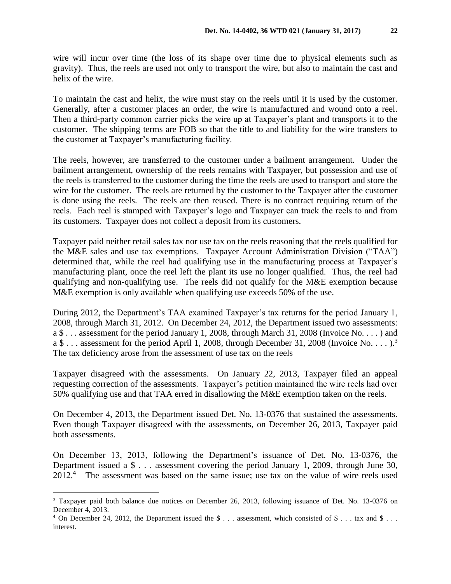wire will incur over time (the loss of its shape over time due to physical elements such as gravity). Thus, the reels are used not only to transport the wire, but also to maintain the cast and helix of the wire.

To maintain the cast and helix, the wire must stay on the reels until it is used by the customer. Generally, after a customer places an order, the wire is manufactured and wound onto a reel. Then a third-party common carrier picks the wire up at Taxpayer's plant and transports it to the customer. The shipping terms are FOB so that the title to and liability for the wire transfers to the customer at Taxpayer's manufacturing facility.

The reels, however, are transferred to the customer under a bailment arrangement. Under the bailment arrangement, ownership of the reels remains with Taxpayer, but possession and use of the reels is transferred to the customer during the time the reels are used to transport and store the wire for the customer. The reels are returned by the customer to the Taxpayer after the customer is done using the reels. The reels are then reused. There is no contract requiring return of the reels. Each reel is stamped with Taxpayer's logo and Taxpayer can track the reels to and from its customers. Taxpayer does not collect a deposit from its customers.

Taxpayer paid neither retail sales tax nor use tax on the reels reasoning that the reels qualified for the M&E sales and use tax exemptions. Taxpayer Account Administration Division ("TAA") determined that, while the reel had qualifying use in the manufacturing process at Taxpayer's manufacturing plant, once the reel left the plant its use no longer qualified. Thus, the reel had qualifying and non-qualifying use. The reels did not qualify for the M&E exemption because M&E exemption is only available when qualifying use exceeds 50% of the use.

During 2012, the Department's TAA examined Taxpayer's tax returns for the period January 1, 2008, through March 31, 2012. On December 24, 2012, the Department issued two assessments: a \$ . . . assessment for the period January 1, 2008, through March 31, 2008 (Invoice No. . . . ) and a \$ . . . assessment for the period April 1, 2008, through December 31, 2008 (Invoice No. . . . ).<sup>3</sup> The tax deficiency arose from the assessment of use tax on the reels

Taxpayer disagreed with the assessments. On January 22, 2013, Taxpayer filed an appeal requesting correction of the assessments. Taxpayer's petition maintained the wire reels had over 50% qualifying use and that TAA erred in disallowing the M&E exemption taken on the reels.

On December 4, 2013, the Department issued Det. No. 13-0376 that sustained the assessments. Even though Taxpayer disagreed with the assessments, on December 26, 2013, Taxpayer paid both assessments.

On December 13, 2013, following the Department's issuance of Det. No. 13-0376, the Department issued a \$ . . . assessment covering the period January 1, 2009, through June 30, 2012.<sup>4</sup> The assessment was based on the same issue; use tax on the value of wire reels used

<sup>3</sup> Taxpayer paid both balance due notices on December 26, 2013, following issuance of Det. No. 13-0376 on December 4, 2013.

<sup>&</sup>lt;sup>4</sup> On December 24, 2012, the Department issued the  $\$\ldots$$  assessment, which consisted of  $\$\ldots$$  tax and  $\$\ldots$ interest.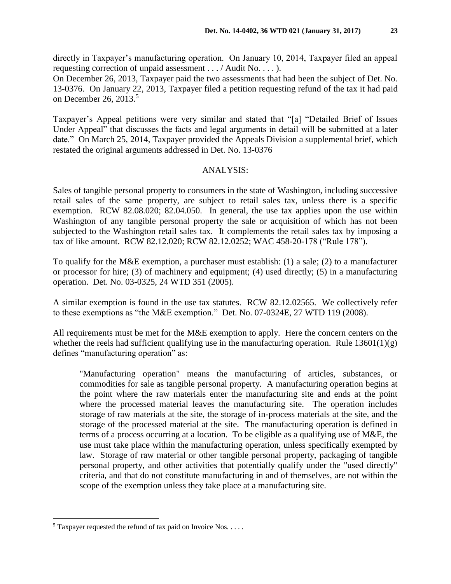directly in Taxpayer's manufacturing operation. On January 10, 2014, Taxpayer filed an appeal requesting correction of unpaid assessment . . . / Audit No. . . . ).

On December 26, 2013, Taxpayer paid the two assessments that had been the subject of Det. No. 13-0376. On January 22, 2013, Taxpayer filed a petition requesting refund of the tax it had paid on December 26, 2013.<sup>5</sup>

Taxpayer's Appeal petitions were very similar and stated that "[a] "Detailed Brief of Issues Under Appeal" that discusses the facts and legal arguments in detail will be submitted at a later date." On March 25, 2014, Taxpayer provided the Appeals Division a supplemental brief, which restated the original arguments addressed in Det. No. 13-0376

### ANALYSIS:

Sales of tangible personal property to consumers in the state of Washington, including successive retail sales of the same property, are subject to retail sales tax, unless there is a specific exemption. RCW 82.08.020; 82.04.050. In general, the use tax applies upon the use within Washington of any tangible personal property the sale or acquisition of which has not been subjected to the Washington retail sales tax. It complements the retail sales tax by imposing a tax of like amount. RCW 82.12.020; RCW 82.12.0252; WAC 458-20-178 ("Rule 178").

To qualify for the M&E exemption, a purchaser must establish: (1) a sale; (2) to a manufacturer or processor for hire; (3) of machinery and equipment; (4) used directly; (5) in a manufacturing operation. Det. No. 03-0325, 24 WTD 351 (2005).

A similar exemption is found in the use tax statutes. RCW 82.12.02565. We collectively refer to these exemptions as "the M&E exemption." Det. No. 07-0324E, 27 WTD 119 (2008).

All requirements must be met for the M&E exemption to apply. Here the concern centers on the whether the reels had sufficient qualifying use in the manufacturing operation. Rule  $13601(1)(g)$ defines "manufacturing operation" as:

"Manufacturing operation" means the manufacturing of articles, substances, or commodities for sale as tangible personal property. A manufacturing operation begins at the point where the raw materials enter the manufacturing site and ends at the point where the processed material leaves the manufacturing site. The operation includes storage of raw materials at the site, the storage of in-process materials at the site, and the storage of the processed material at the site. The manufacturing operation is defined in terms of a process occurring at a location. To be eligible as a qualifying use of M&E, the use must take place within the manufacturing operation, unless specifically exempted by law. Storage of raw material or other tangible personal property, packaging of tangible personal property, and other activities that potentially qualify under the "used directly" criteria, and that do not constitute manufacturing in and of themselves, are not within the scope of the exemption unless they take place at a manufacturing site.

 $5$  Taxpayer requested the refund of tax paid on Invoice Nos. . . . .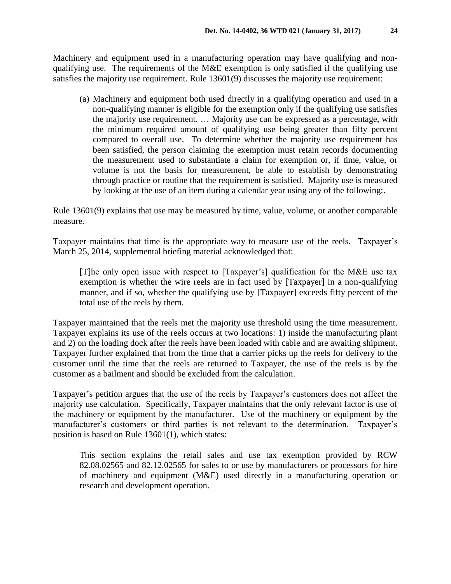Machinery and equipment used in a manufacturing operation may have qualifying and nonqualifying use. The requirements of the M&E exemption is only satisfied if the qualifying use satisfies the majority use requirement. Rule 13601(9) discusses the majority use requirement:

(a) Machinery and equipment both used directly in a qualifying operation and used in a non-qualifying manner is eligible for the exemption only if the qualifying use satisfies the majority use requirement. … Majority use can be expressed as a percentage, with the minimum required amount of qualifying use being greater than fifty percent compared to overall use. To determine whether the majority use requirement has been satisfied, the person claiming the exemption must retain records documenting the measurement used to substantiate a claim for exemption or, if time, value, or volume is not the basis for measurement, be able to establish by demonstrating through practice or routine that the requirement is satisfied. Majority use is measured by looking at the use of an item during a calendar year using any of the following:.

Rule 13601(9) explains that use may be measured by time, value, volume, or another comparable measure.

Taxpayer maintains that time is the appropriate way to measure use of the reels. Taxpayer's March 25, 2014, supplemental briefing material acknowledged that:

[T]he only open issue with respect to [Taxpayer's] qualification for the M&E use tax exemption is whether the wire reels are in fact used by [Taxpayer] in a non-qualifying manner, and if so, whether the qualifying use by [Taxpayer] exceeds fifty percent of the total use of the reels by them.

Taxpayer maintained that the reels met the majority use threshold using the time measurement. Taxpayer explains its use of the reels occurs at two locations: 1) inside the manufacturing plant and 2) on the loading dock after the reels have been loaded with cable and are awaiting shipment. Taxpayer further explained that from the time that a carrier picks up the reels for delivery to the customer until the time that the reels are returned to Taxpayer, the use of the reels is by the customer as a bailment and should be excluded from the calculation.

Taxpayer's petition argues that the use of the reels by Taxpayer's customers does not affect the majority use calculation. Specifically, Taxpayer maintains that the only relevant factor is use of the machinery or equipment by the manufacturer. Use of the machinery or equipment by the manufacturer's customers or third parties is not relevant to the determination. Taxpayer's position is based on Rule 13601(1), which states:

This section explains the retail sales and use tax exemption provided by RCW 82.08.02565 and 82.12.02565 for sales to or use by manufacturers or processors for hire of machinery and equipment (M&E) used directly in a manufacturing operation or research and development operation.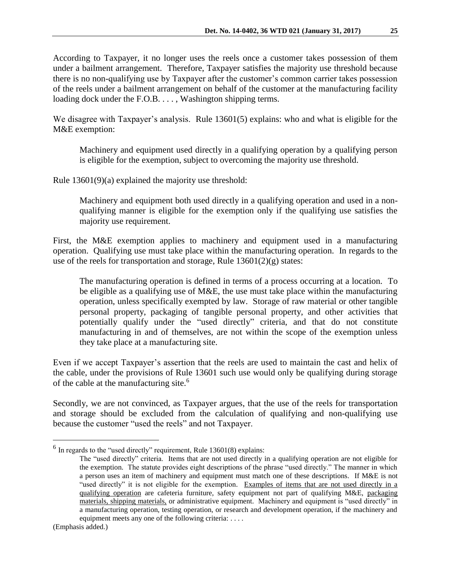According to Taxpayer, it no longer uses the reels once a customer takes possession of them under a bailment arrangement. Therefore, Taxpayer satisfies the majority use threshold because there is no non-qualifying use by Taxpayer after the customer's common carrier takes possession of the reels under a bailment arrangement on behalf of the customer at the manufacturing facility loading dock under the F.O.B. . . . , Washington shipping terms.

We disagree with Taxpayer's analysis. Rule 13601(5) explains: who and what is eligible for the M&E exemption:

Machinery and equipment used directly in a qualifying operation by a qualifying person is eligible for the exemption, subject to overcoming the majority use threshold.

Rule 13601(9)(a) explained the majority use threshold:

Machinery and equipment both used directly in a qualifying operation and used in a nonqualifying manner is eligible for the exemption only if the qualifying use satisfies the majority use requirement.

First, the M&E exemption applies to machinery and equipment used in a manufacturing operation. Qualifying use must take place within the manufacturing operation. In regards to the use of the reels for transportation and storage, Rule  $13601(2)(g)$  states:

The manufacturing operation is defined in terms of a process occurring at a location. To be eligible as a qualifying use of M&E, the use must take place within the manufacturing operation, unless specifically exempted by law. Storage of raw material or other tangible personal property, packaging of tangible personal property, and other activities that potentially qualify under the "used directly" criteria, and that do not constitute manufacturing in and of themselves, are not within the scope of the exemption unless they take place at a manufacturing site.

Even if we accept Taxpayer's assertion that the reels are used to maintain the cast and helix of the cable, under the provisions of Rule 13601 such use would only be qualifying during storage of the cable at the manufacturing site.<sup>6</sup>

Secondly, we are not convinced, as Taxpayer argues, that the use of the reels for transportation and storage should be excluded from the calculation of qualifying and non-qualifying use because the customer "used the reels" and not Taxpayer.

 $<sup>6</sup>$  In regards to the "used directly" requirement, Rule 13601(8) explains:</sup>

The "used directly" criteria. Items that are not used directly in a qualifying operation are not eligible for the exemption. The statute provides eight descriptions of the phrase "used directly." The manner in which a person uses an item of machinery and equipment must match one of these descriptions. If M&E is not "used directly" it is not eligible for the exemption. Examples of items that are not used directly in a qualifying operation are cafeteria furniture, safety equipment not part of qualifying M&E, packaging materials, shipping materials, or administrative equipment. Machinery and equipment is "used directly" in a manufacturing operation, testing operation, or research and development operation, if the machinery and equipment meets any one of the following criteria: ...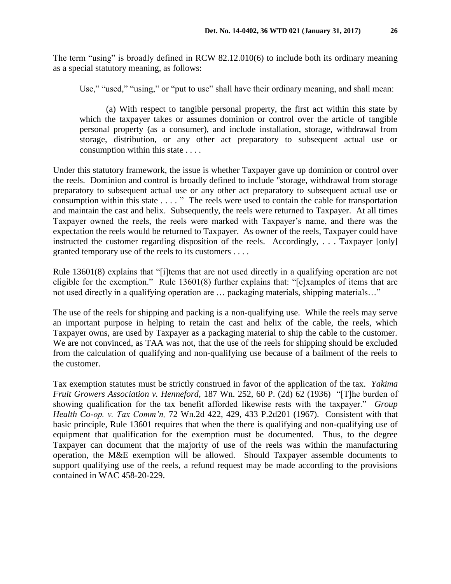The term "using" is broadly defined in RCW 82.12.010(6) to include both its ordinary meaning as a special statutory meaning, as follows:

Use," "used," "using," or "put to use" shall have their ordinary meaning, and shall mean:

(a) With respect to tangible personal property, the first act within this state by which the taxpayer takes or assumes dominion or control over the article of tangible personal property (as a consumer), and include installation, storage, withdrawal from storage, distribution, or any other act preparatory to subsequent actual use or consumption within this state . . . .

Under this statutory framework, the issue is whether Taxpayer gave up dominion or control over the reels. Dominion and control is broadly defined to include "storage, withdrawal from storage preparatory to subsequent actual use or any other act preparatory to subsequent actual use or consumption within this state . . . . " The reels were used to contain the cable for transportation and maintain the cast and helix. Subsequently, the reels were returned to Taxpayer. At all times Taxpayer owned the reels, the reels were marked with Taxpayer's name, and there was the expectation the reels would be returned to Taxpayer. As owner of the reels, Taxpayer could have instructed the customer regarding disposition of the reels. Accordingly, . . . Taxpayer [only] granted temporary use of the reels to its customers . . . .

Rule 13601(8) explains that "[i]tems that are not used directly in a qualifying operation are not eligible for the exemption." Rule 13601(8) further explains that: "[e]xamples of items that are not used directly in a qualifying operation are … packaging materials, shipping materials…"

The use of the reels for shipping and packing is a non-qualifying use. While the reels may serve an important purpose in helping to retain the cast and helix of the cable, the reels, which Taxpayer owns, are used by Taxpayer as a packaging material to ship the cable to the customer. We are not convinced, as TAA was not, that the use of the reels for shipping should be excluded from the calculation of qualifying and non-qualifying use because of a bailment of the reels to the customer.

Tax exemption statutes must be strictly construed in favor of the application of the tax. *Yakima Fruit Growers Association v. Henneford*, 187 Wn. 252, 60 P. (2d) 62 (1936) "[T]he burden of showing qualification for the tax benefit afforded likewise rests with the taxpayer." *Group Health Co-op. v. Tax Comm'n,* 72 Wn.2d 422, 429, 433 P.2d201 (1967). Consistent with that basic principle, Rule 13601 requires that when the there is qualifying and non-qualifying use of equipment that qualification for the exemption must be documented. Thus, to the degree Taxpayer can document that the majority of use of the reels was within the manufacturing operation, the M&E exemption will be allowed. Should Taxpayer assemble documents to support qualifying use of the reels, a refund request may be made according to the provisions contained in WAC 458-20-229.